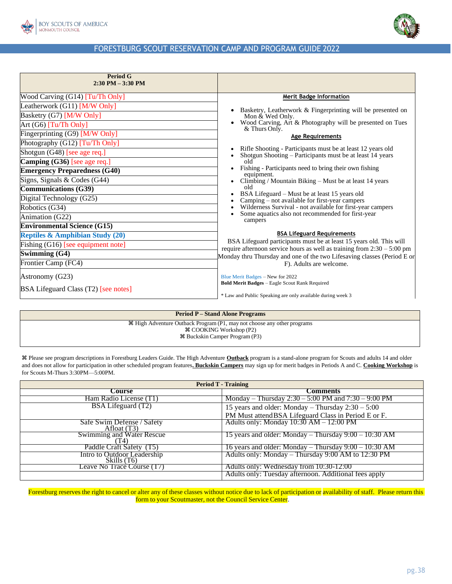



| <b>Period G</b><br>$2:30$ PM $-3:30$ PM     |                                                                                                                                                  |
|---------------------------------------------|--------------------------------------------------------------------------------------------------------------------------------------------------|
| Wood Carving (G14) [Tu/Th Only]             | <b>Merit Badge Information</b>                                                                                                                   |
| Leatherwork (G11) [M/W Only]                | Basketry, Leatherwork & Fingerprinting will be presented on                                                                                      |
| Basketry (G7) [M/W Only]                    | Mon & Wed Only.                                                                                                                                  |
| Art $(G6)$ [Tu/Th Only]                     | Wood Carving, Art & Photography will be presented on Tues<br>& Thurs Only.                                                                       |
| Fingerprinting (G9) [M/W Only]              | <b>Age Requirements</b>                                                                                                                          |
| Photography (G12) [Tu/Th Only]              |                                                                                                                                                  |
| Shotgun (G48) [see age req.]                | Rifle Shooting - Participants must be at least 12 years old<br>Shotgun Shooting – Participants must be at least 14 years                         |
| Camping $(G36)$ [see age req.]              | old                                                                                                                                              |
| <b>Emergency Preparedness (G40)</b>         | Fishing - Participants need to bring their own fishing<br>equipment.                                                                             |
| Signs, Signals & Codes (G44)                | Climbing / Mountain Biking – Must be at least 14 years                                                                                           |
| <b>Communications (G39)</b>                 | old                                                                                                                                              |
| Digital Technology (G25)                    | BSA Lifeguard – Must be at least 15 years old<br>Camping - not available for first-year campers                                                  |
| Robotics (G34)                              | Wilderness Survival - not available for first-year campers                                                                                       |
| Animation (G22)                             | Some aquatics also not recommended for first-year<br>campers                                                                                     |
| <b>Environmental Science (G15)</b>          |                                                                                                                                                  |
| <b>Reptiles &amp; Amphibian Study (20)</b>  | <b>BSA Lifeguard Requirements</b>                                                                                                                |
| Fishing (G16) [see equipment note]          | BSA Lifeguard participants must be at least 15 years old. This will<br>require afternoon service hours as well as training from $2:30 - 5:00$ pm |
| Swimming $(G4)$                             | Monday thru Thursday and one of the two Lifesaving classes (Period E or                                                                          |
| Frontier Camp (FC4)                         | F). Adults are welcome.                                                                                                                          |
| Astronomy (G23)                             | Blue Merit Badges - New for 2022                                                                                                                 |
|                                             | <b>Bold Merit Badges - Eagle Scout Rank Required</b>                                                                                             |
| <b>BSA Lifeguard Class (T2)</b> [see notes] | * Law and Public Speaking are only available during week 3                                                                                       |

**Period P – Stand Alone Programs**

 High Adventure Outback Program (P1, may not choose any other programs COOKING Workshop (P2) Buckskin Camper Program (P3)

Please see program descriptions in Forestburg Leaders Guide. The High Adventure **Outback** program is a stand-alone program for Scouts and adults 14 and older

and does not allow for participation in other scheduled program features**. Buckskin Campers** may sign up for merit badges in Periods A and C. **Cooking Workshop** is for Scouts M-Thurs 3:30PM—5:00PM.

| <b>Period T - Training</b>                   |                                                         |  |
|----------------------------------------------|---------------------------------------------------------|--|
| Course                                       | Comments                                                |  |
| Ham Radio License (T1)                       | Monday – Thursday $2:30 - 5:00$ PM and $7:30 - 9:00$ PM |  |
| BSA Lifeguard (T2)                           | 15 years and older: Monday $-$ Thursday $2:30 - 5:00$   |  |
|                                              | PM Must attend BSA Lifeguard Class in Period E or F.    |  |
| Safe Swim Defense / Safety<br>Afloat (T3)    | Adults only: Monday $10:30$ AM $- 12:00$ PM             |  |
| Swimming and Water Rescue<br>T4)             | 15 years and older: Monday – Thursday $9:00 - 10:30$ AM |  |
| Paddle Craft Safety (T5)                     | 16 years and older: Monday – Thursday $9:00 - 10:30$ AM |  |
| Intro to Outdoor Leadership<br>Skills $(T6)$ | Adults only: Monday – Thursday 9:00 AM to 12:30 PM      |  |
| <b>Leave No Trace Course (T7)</b>            | Adults only: Wednesday from 10:30-12:00                 |  |
|                                              | Adults only: Tuesday afternoon. Additional fees apply   |  |

Forestburg reserves the right to cancel or alter any of these classes without notice due to lack of participation or availability of staff. Please return this form to your Scoutmaster, not the Council Service Center.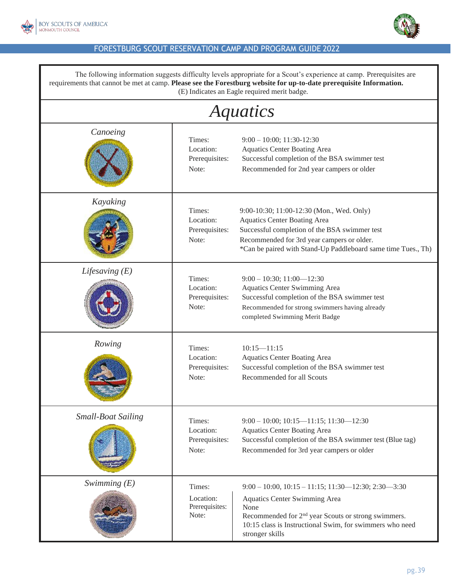



| The following information suggests difficulty levels appropriate for a Scout's experience at camp. Prerequisites are<br>requirements that cannot be met at camp. Please see the Forestburg website for up-to-date prerequisite Information.<br>(E) Indicates an Eagle required merit badge. |                                                |                                                                                                                                                                                                                                                                      |  |
|---------------------------------------------------------------------------------------------------------------------------------------------------------------------------------------------------------------------------------------------------------------------------------------------|------------------------------------------------|----------------------------------------------------------------------------------------------------------------------------------------------------------------------------------------------------------------------------------------------------------------------|--|
| Aquatics                                                                                                                                                                                                                                                                                    |                                                |                                                                                                                                                                                                                                                                      |  |
| Canoeing                                                                                                                                                                                                                                                                                    | Times:<br>Location:<br>Prerequisites:<br>Note: | $9:00 - 10:00$ ; 11:30-12:30<br><b>Aquatics Center Boating Area</b><br>Successful completion of the BSA swimmer test<br>Recommended for 2nd year campers or older                                                                                                    |  |
| Kayaking                                                                                                                                                                                                                                                                                    | Times:<br>Location:<br>Prerequisites:<br>Note: | 9:00-10:30; 11:00-12:30 (Mon., Wed. Only)<br><b>Aquatics Center Boating Area</b><br>Successful completion of the BSA swimmer test<br>Recommended for 3rd year campers or older.<br>*Can be paired with Stand-Up Paddleboard same time Tues., Th)                     |  |
| Lifesaving $(E)$                                                                                                                                                                                                                                                                            | Times:<br>Location:<br>Prerequisites:<br>Note: | $9:00 - 10:30; 11:00 - 12:30$<br>Aquatics Center Swimming Area<br>Successful completion of the BSA swimmer test<br>Recommended for strong swimmers having already<br>completed Swimming Merit Badge                                                                  |  |
| Rowing                                                                                                                                                                                                                                                                                      | Times:<br>Location:<br>Prerequisites:<br>Note: | $10:15 - 11:15$<br><b>Aquatics Center Boating Area</b><br>Successful completion of the BSA swimmer test<br>Recommended for all Scouts                                                                                                                                |  |
| <b>Small-Boat Sailing</b>                                                                                                                                                                                                                                                                   | Times:<br>Location:<br>Prerequisites:<br>Note: | $9:00 - 10:00$ ; $10:15 - 11:15$ ; $11:30 - 12:30$<br><b>Aquatics Center Boating Area</b><br>Successful completion of the BSA swimmer test (Blue tag)<br>Recommended for 3rd year campers or older                                                                   |  |
| Swimming $(E)$                                                                                                                                                                                                                                                                              | Times:<br>Location:<br>Prerequisites:<br>Note: | $9:00 - 10:00$ , $10:15 - 11:15$ ; $11:30 - 12:30$ ; $2:30 - 3:30$<br><b>Aquatics Center Swimming Area</b><br>None<br>Recommended for 2 <sup>nd</sup> year Scouts or strong swimmers.<br>10:15 class is Instructional Swim, for swimmers who need<br>stronger skills |  |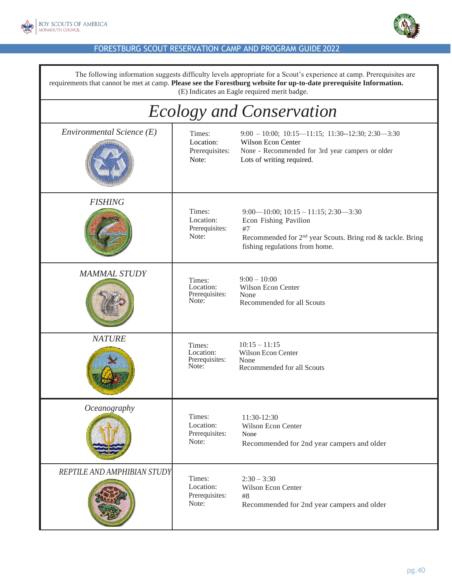



The following information suggests difficulty levels appropriate for a Scout's experience at camp. Prerequisites are requirements that cannot be met at camp. **Please see the Forestburg website for up-to-date prerequisite Information.** (E) Indicates an Eagle required merit badge. *Ecology and Conservation Environmental Science (E)* Times: 9:00 – 10:00; 10:15—11:15; 11:30--12:30; 2:30—3:30 Location: Wilson Econ Center Prerequisites: None - Recommended for 3rd year campers or older Note: Lots of writing required. *FISHING* Times: Location: Prerequisites: Note: 9:00—10:00; 10:15 – 11:15; 2:30—3:30 Econ Fishing Pavilion #7 Recommended for 2nd year Scouts. Bring rod & tackle. Bring fishing regulations from home. *MAMMAL STUDY* Times: Location: Prerequisites: Note:  $9:00 - 10:00$ Wilson Econ Center None Recommended for all Scouts *NATURE* Times: Location: Prerequisites: Note:  $10:15 - 11:15$ Wilson Econ Center None Recommended for all Scouts *Oceanography* Times: Location: Prerequisites: Note: 11:30-12:30 Wilson Econ Center None Recommended for 2nd year campers and older *REPTILE AND AMPHIBIAN STUDY* Times: Location: Prerequisites: Note:  $2:30 - 3:30$ Wilson Econ Center #8 Recommended for 2nd year campers and older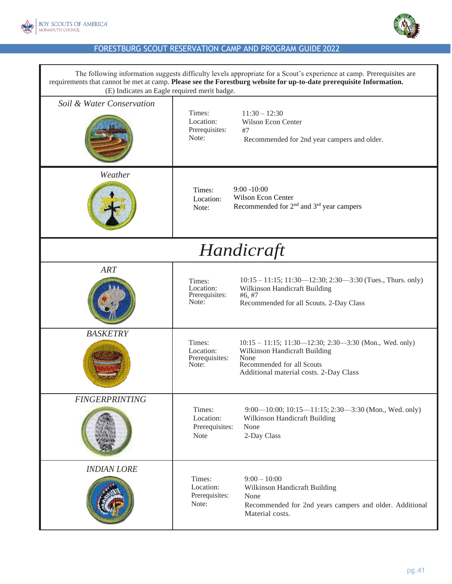



| The following information suggests difficulty levels appropriate for a Scout's experience at camp. Prerequisites are<br>requirements that cannot be met at camp. Please see the Forestburg website for up-to-date prerequisite Information.<br>(E) Indicates an Eagle required merit badge. |                                                                                                                                                                                                                               |  |  |
|---------------------------------------------------------------------------------------------------------------------------------------------------------------------------------------------------------------------------------------------------------------------------------------------|-------------------------------------------------------------------------------------------------------------------------------------------------------------------------------------------------------------------------------|--|--|
| Soil & Water Conservation                                                                                                                                                                                                                                                                   | Times:<br>$11:30 - 12:30$<br>Location:<br>Wilson Econ Center<br>Prerequisites:<br>#7<br>Note:<br>Recommended for 2nd year campers and older.                                                                                  |  |  |
| Weather                                                                                                                                                                                                                                                                                     | $9:00 - 10:00$<br>Times:<br><b>Wilson Econ Center</b><br>Location:<br>Recommended for $2nd$ and $3rd$ year campers<br>Note:                                                                                                   |  |  |
| Handicraft                                                                                                                                                                                                                                                                                  |                                                                                                                                                                                                                               |  |  |
| <b>ART</b>                                                                                                                                                                                                                                                                                  | $10:15 - 11:15$ ; $11:30 - 12:30$ ; $2:30 - 3:30$ (Tues., Thurs. only)<br>Times:<br>Location:<br>Wilkinson Handicraft Building<br>Prerequisites:<br>#6, #7<br>Note:<br>Recommended for all Scouts. 2-Day Class                |  |  |
| <b>BASKETRY</b>                                                                                                                                                                                                                                                                             | Times:<br>$10:15 - 11:15$ ; 11:30-12:30; 2:30-3:30 (Mon., Wed. only)<br>Location:<br>Wilkinson Handicraft Building<br>Prerequisites:<br>None<br>Recommended for all Scouts<br>Note:<br>Additional material costs. 2-Day Class |  |  |
| <b>FINGERPRINTING</b>                                                                                                                                                                                                                                                                       | Times:<br>$9:00-10:00; 10:15-11:15; 2:30-3:30$ (Mon., Wed. only)<br>Location:<br>Wilkinson Handicraft Building<br>Prerequisites:<br>None<br><b>Note</b><br>2-Day Class                                                        |  |  |
| <b>INDIAN LORE</b>                                                                                                                                                                                                                                                                          | Times:<br>$9:00 - 10:00$<br>Location:<br>Wilkinson Handicraft Building<br>Prerequisites:<br>None<br>Note:<br>Recommended for 2nd years campers and older. Additional<br>Material costs.                                       |  |  |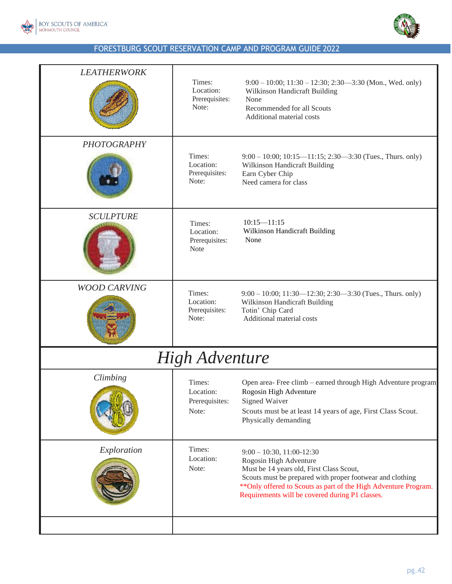

| <b>LEATHERWORK</b>  | Times:<br>Location:<br>Prerequisites:<br>Note:       | $9:00 - 10:00$ ; $11:30 - 12:30$ ; $2:30 - 3:30$ (Mon., Wed. only)<br>Wilkinson Handicraft Building<br>None<br>Recommended for all Scouts<br>Additional material costs                                                                                                                  |
|---------------------|------------------------------------------------------|-----------------------------------------------------------------------------------------------------------------------------------------------------------------------------------------------------------------------------------------------------------------------------------------|
| <b>PHOTOGRAPHY</b>  | Times:<br>Location:<br>Prerequisites:<br>Note:       | $9:00 - 10:00$ ; $10:15 - 11:15$ ; $2:30 - 3:30$ (Tues., Thurs. only)<br>Wilkinson Handicraft Building<br>Earn Cyber Chip<br>Need camera for class                                                                                                                                      |
| <b>SCULPTURE</b>    | Times:<br>Location:<br>Prerequisites:<br><b>Note</b> | $10:15 - 11:15$<br>Wilkinson Handicraft Building<br>None                                                                                                                                                                                                                                |
| <b>WOOD CARVING</b> | Times:<br>Location:<br>Prerequisites:<br>Note:       | $9:00 - 10:00$ ; 11:30—12:30; 2:30—3:30 (Tues., Thurs. only)<br>Wilkinson Handicraft Building<br>Totin' Chip Card<br>Additional material costs                                                                                                                                          |
|                     | <b>High Adventure</b>                                |                                                                                                                                                                                                                                                                                         |
| Climbing            | Times:<br>Location:<br>Prerequisites:<br>Note:       | Open area-Free climb - earned through High Adventure program<br>Rogosin High Adventure<br>Signed Waiver<br>Scouts must be at least 14 years of age, First Class Scout.<br>Physically demanding                                                                                          |
| Exploration         | Times:<br>Location:<br>Note:                         | $9:00 - 10:30, 11:00 - 12:30$<br>Rogosin High Adventure<br>Must be 14 years old, First Class Scout,<br>Scouts must be prepared with proper footwear and clothing<br>** Only offered to Scouts as part of the High Adventure Program.<br>Requirements will be covered during P1 classes. |
|                     |                                                      |                                                                                                                                                                                                                                                                                         |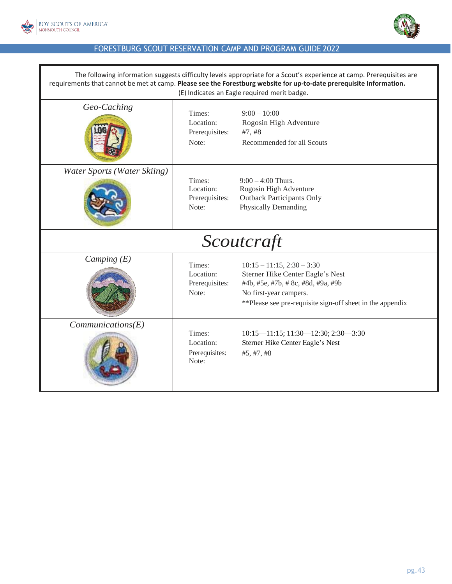



| The following information suggests difficulty levels appropriate for a Scout's experience at camp. Prerequisites are<br>requirements that cannot be met at camp. Please see the Forestburg website for up-to-date prerequisite Information.<br>(E) Indicates an Eagle required merit badge. |                                                |                                                                                                                                                                                                 |  |
|---------------------------------------------------------------------------------------------------------------------------------------------------------------------------------------------------------------------------------------------------------------------------------------------|------------------------------------------------|-------------------------------------------------------------------------------------------------------------------------------------------------------------------------------------------------|--|
| Geo-Caching                                                                                                                                                                                                                                                                                 | Times:<br>Location:<br>Prerequisites:<br>Note: | $9:00 - 10:00$<br>Rogosin High Adventure<br>#7, #8<br>Recommended for all Scouts                                                                                                                |  |
| Water Sports (Water Skiing)                                                                                                                                                                                                                                                                 | Times:<br>Location:<br>Prerequisites:<br>Note: | $9:00 - 4:00$ Thurs.<br>Rogosin High Adventure<br><b>Outback Participants Only</b><br><b>Physically Demanding</b>                                                                               |  |
| Scoutcraft                                                                                                                                                                                                                                                                                  |                                                |                                                                                                                                                                                                 |  |
| Camping $(E)$                                                                                                                                                                                                                                                                               | Times:<br>Location:<br>Prerequisites:<br>Note: | $10:15 - 11:15$ , $2:30 - 3:30$<br>Sterner Hike Center Eagle's Nest<br>#4b, #5e, #7b, #8c, #8d, #9a, #9b<br>No first-year campers.<br>**Please see pre-requisite sign-off sheet in the appendix |  |
| Communications(E)                                                                                                                                                                                                                                                                           | Times:<br>Location:<br>Prerequisites:<br>Note: | $10:15 - 11:15$ ; $11:30 - 12:30$ ; $2:30 - 3:30$<br>Sterner Hike Center Eagle's Nest<br>#5, #7, #8                                                                                             |  |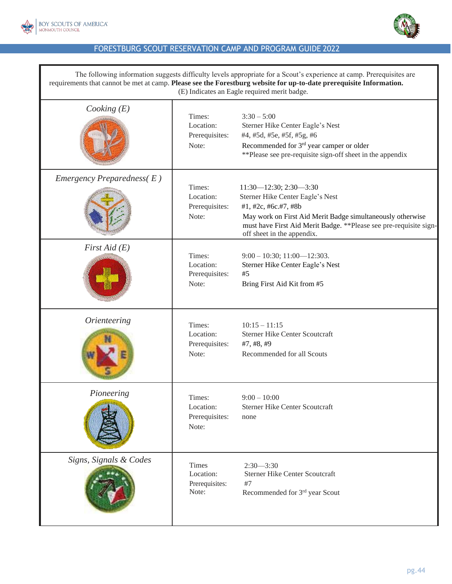



| The following information suggests difficulty levels appropriate for a Scout's experience at camp. Prerequisites are<br>requirements that cannot be met at camp. Please see the Forestburg website for up-to-date prerequisite Information.<br>(E) Indicates an Eagle required merit badge. |                                                |                                                                                                                                                                                                                                                            |
|---------------------------------------------------------------------------------------------------------------------------------------------------------------------------------------------------------------------------------------------------------------------------------------------|------------------------------------------------|------------------------------------------------------------------------------------------------------------------------------------------------------------------------------------------------------------------------------------------------------------|
| Cooking $(E)$                                                                                                                                                                                                                                                                               | Times:<br>Location:<br>Prerequisites:<br>Note: | $3:30 - 5:00$<br>Sterner Hike Center Eagle's Nest<br>#4, #5d, #5e, #5f, #5g, #6<br>Recommended for 3 <sup>rd</sup> year camper or older<br>**Please see pre-requisite sign-off sheet in the appendix                                                       |
| Emergency Preparedness $(E)$                                                                                                                                                                                                                                                                | Times:<br>Location:<br>Prerequisites:<br>Note: | $11:30 - 12:30; 2:30 - 3:30$<br>Sterner Hike Center Eagle's Nest<br>#1, #2c, #6c.#7, #8b<br>May work on First Aid Merit Badge simultaneously otherwise<br>must have First Aid Merit Badge. ** Please see pre-requisite sign-<br>off sheet in the appendix. |
| First Aid $(E)$                                                                                                                                                                                                                                                                             | Times:<br>Location:<br>Prerequisites:<br>Note: | $9:00 - 10:30; 11:00 - 12:303.$<br>Sterner Hike Center Eagle's Nest<br>#5<br>Bring First Aid Kit from #5                                                                                                                                                   |
| <i><u><b>Orienteering</b></u></i>                                                                                                                                                                                                                                                           | Times:<br>Location:<br>Prerequisites:<br>Note: | $10:15 - 11:15$<br><b>Sterner Hike Center Scoutcraft</b><br>#7, #8, #9<br>Recommended for all Scouts                                                                                                                                                       |
| Pioneering                                                                                                                                                                                                                                                                                  | Times:<br>Location:<br>Prerequisites:<br>Note: | $9:00 - 10:00$<br><b>Sterner Hike Center Scoutcraft</b><br>none                                                                                                                                                                                            |
| Signs, Signals & Codes                                                                                                                                                                                                                                                                      | Times<br>Location:<br>Prerequisites:<br>Note:  | $2:30 - 3:30$<br><b>Sterner Hike Center Scoutcraft</b><br>#7<br>Recommended for 3rd year Scout                                                                                                                                                             |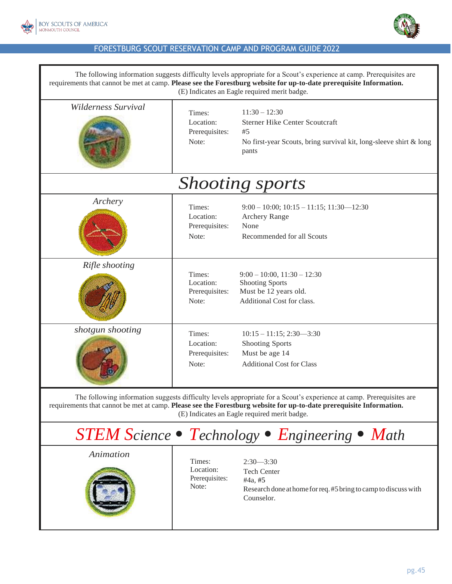



| The following information suggests difficulty levels appropriate for a Scout's experience at camp. Prerequisites are<br>requirements that cannot be met at camp. Please see the Forestburg website for up-to-date prerequisite Information.<br>(E) Indicates an Eagle required merit badge. |                                                |                                                                                                                                               |  |
|---------------------------------------------------------------------------------------------------------------------------------------------------------------------------------------------------------------------------------------------------------------------------------------------|------------------------------------------------|-----------------------------------------------------------------------------------------------------------------------------------------------|--|
| Wilderness Survival                                                                                                                                                                                                                                                                         | Times:<br>Location:<br>Prerequisites:<br>Note: | $11:30 - 12:30$<br><b>Sterner Hike Center Scoutcraft</b><br>#5<br>No first-year Scouts, bring survival kit, long-sleeve shirt & long<br>pants |  |
|                                                                                                                                                                                                                                                                                             |                                                | <b>Shooting sports</b>                                                                                                                        |  |
| Archery                                                                                                                                                                                                                                                                                     | Times:<br>Location:<br>Prerequisites:<br>Note: | $9:00 - 10:00$ ; $10:15 - 11:15$ ; $11:30 - 12:30$<br><b>Archery Range</b><br>None<br>Recommended for all Scouts                              |  |
| Rifle shooting                                                                                                                                                                                                                                                                              | Times:<br>Location:<br>Prerequisites:<br>Note: | $9:00 - 10:00, 11:30 - 12:30$<br><b>Shooting Sports</b><br>Must be 12 years old.<br>Additional Cost for class.                                |  |
| shotgun shooting                                                                                                                                                                                                                                                                            | Times:<br>Location:<br>Prerequisites:<br>Note: | $10:15 - 11:15$ ; 2:30-3:30<br><b>Shooting Sports</b><br>Must be age 14<br><b>Additional Cost for Class</b>                                   |  |
| The following information suggests difficulty levels appropriate for a Scout's experience at camp. Prerequisites are<br>requirements that cannot be met at camp. Please see the Forestburg website for up-to-date prerequisite Information.<br>(E) Indicates an Eagle required merit badge. |                                                |                                                                                                                                               |  |
| <b>STEM Science • Technology • Engineering • Math</b>                                                                                                                                                                                                                                       |                                                |                                                                                                                                               |  |
| Animation                                                                                                                                                                                                                                                                                   | Times:<br>Location:<br>Prerequisites:<br>Note: | $2:30 - 3:30$<br><b>Tech Center</b><br>#4a, #5<br>Research done at home for req. #5 bring to camp to discuss with<br>Counselor.               |  |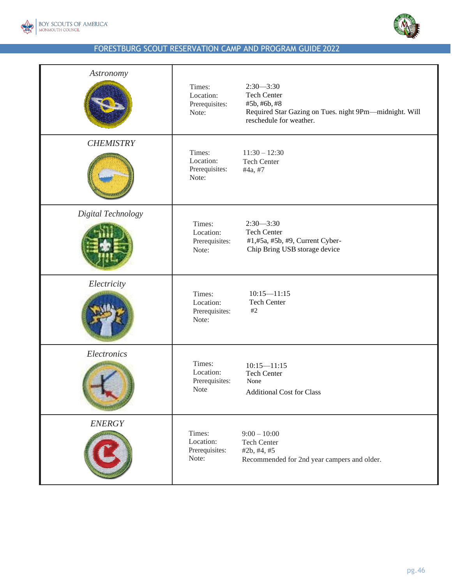



| Astronomy          | Times:<br>Location:<br>Prerequisites:<br>Note:       | $2:30 - 3:30$<br><b>Tech Center</b><br>#5b, #6b, #8<br>Required Star Gazing on Tues. night 9Pm-midnight. Will<br>reschedule for weather. |
|--------------------|------------------------------------------------------|------------------------------------------------------------------------------------------------------------------------------------------|
| <b>CHEMISTRY</b>   | Times:<br>Location:<br>Prerequisites:<br>Note:       | $11:30 - 12:30$<br><b>Tech Center</b><br>#4a, #7                                                                                         |
| Digital Technology | Times:<br>Location:<br>Prerequisites:<br>Note:       | $2:30 - 3:30$<br><b>Tech Center</b><br>#1,#5a, #5b, #9, Current Cyber-<br>Chip Bring USB storage device                                  |
| Electricity        | Times:<br>Location:<br>Prerequisites:<br>Note:       | $10:15 - 11:15$<br><b>Tech Center</b><br>#2                                                                                              |
| Electronics        | Times:<br>Location:<br>Prerequisites:<br><b>Note</b> | $10:15 - 11:15$<br><b>Tech Center</b><br>None<br><b>Additional Cost for Class</b>                                                        |
| <b>ENERGY</b>      | Times:<br>Location:<br>Prerequisites:<br>Note:       | $9:00 - 10:00$<br><b>Tech Center</b><br>#2b, #4, #5<br>Recommended for 2nd year campers and older.                                       |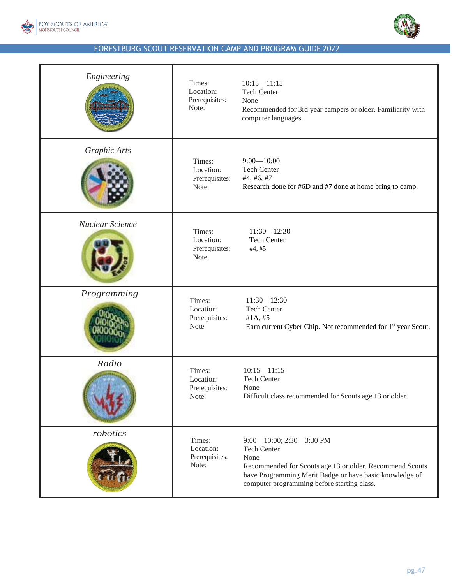



| Engineering     | Times:<br>Location:<br>Prerequisites:<br>Note:       | $10:15 - 11:15$<br><b>Tech Center</b><br>None<br>Recommended for 3rd year campers or older. Familiarity with<br>computer languages.                                                                                                   |
|-----------------|------------------------------------------------------|---------------------------------------------------------------------------------------------------------------------------------------------------------------------------------------------------------------------------------------|
| Graphic Arts    | Times:<br>Location:<br>Prerequisites:<br>Note        | $9:00 - 10:00$<br><b>Tech Center</b><br>#4, #6, #7<br>Research done for #6D and #7 done at home bring to camp.                                                                                                                        |
| Nuclear Science | Times:<br>Location:<br>Prerequisites:<br><b>Note</b> | $11:30 - 12:30$<br><b>Tech Center</b><br>#4, #5                                                                                                                                                                                       |
| Programming     | Times:<br>Location:<br>Prerequisites:<br><b>Note</b> | $11:30 - 12:30$<br>Tech Center<br>#1A, #5<br>Earn current Cyber Chip. Not recommended for 1 <sup>st</sup> year Scout.                                                                                                                 |
| Radio           | Times:<br>Location:<br>Prerequisites:<br>Note:       | $10:15 - 11:15$<br><b>Tech Center</b><br>None<br>Difficult class recommended for Scouts age 13 or older.                                                                                                                              |
| robotics        | Times:<br>Location:<br>Prerequisites:<br>Note:       | $9:00 - 10:00$ ; $2:30 - 3:30$ PM<br><b>Tech Center</b><br>None<br>Recommended for Scouts age 13 or older. Recommend Scouts<br>have Programming Merit Badge or have basic knowledge of<br>computer programming before starting class. |